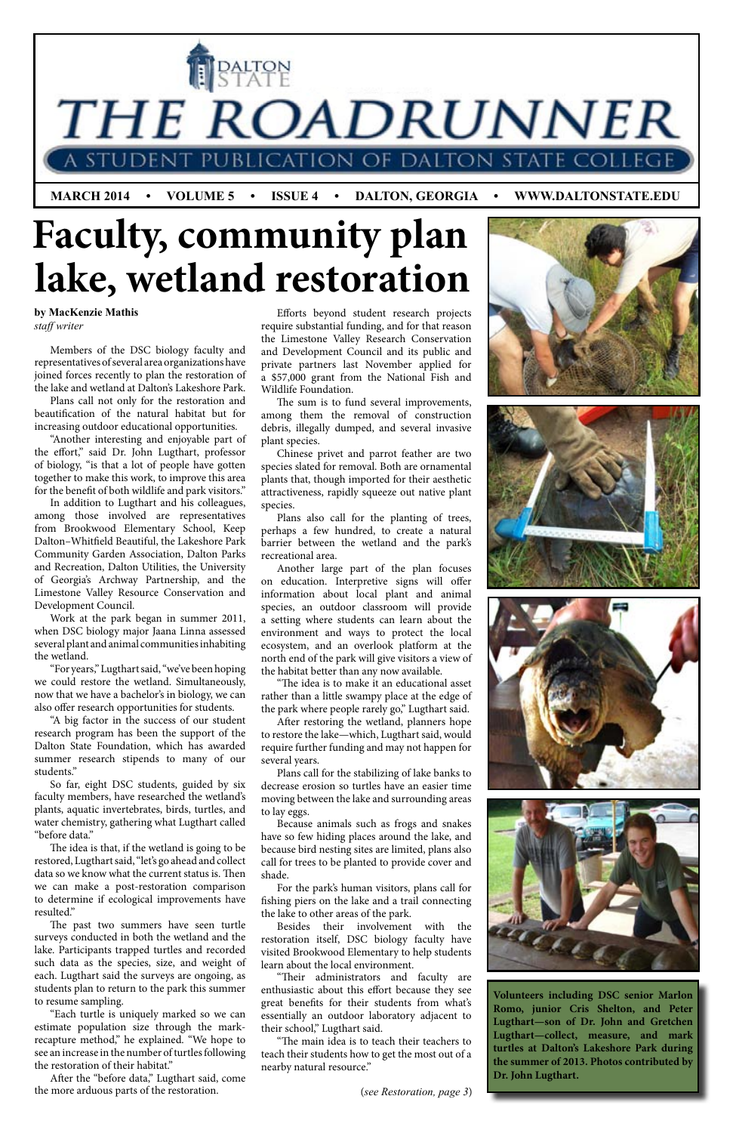THE ROADRUNNER

**JBLICATION OF DALTON STAT** 

 **MARCH 2014 • VOLUME 5 • ISSUE 4 • DALTON, GEORGIA • WWW.DALTONSTATE.EDU**

#### **by MacKenzie Mathis** *staff writer*

**Volunteers including DSC senior Marlon Romo, junior Cris Shelton, and Peter Lugthart—son of Dr. John and Gretchen Lugthart—collect, measure, and mark turtles at Dalton's Lakeshore Park during the summer of 2013. Photos contributed by Dr. John Lugthart.**

(*see Restoration, page 3*)

Members of the DSC biology faculty and representatives of several area organizations have joined forces recently to plan the restoration of the lake and wetland at Dalton's Lakeshore Park.

Plans call not only for the restoration and beautification of the natural habitat but for increasing outdoor educational opportunities.

"Another interesting and enjoyable part of the effort," said Dr. John Lugthart, professor of biology, "is that a lot of people have gotten together to make this work, to improve this area for the benefit of both wildlife and park visitors."

So far, eight DSC students, guided by six faculty members, have researched the wetland's plants, aquatic invertebrates, birds, turtles, and water chemistry, gathering what Lugthart called before data.

In addition to Lugthart and his colleagues, among those involved are representatives from Brookwood Elementary School, Keep Dalton–Whitfield Beautiful, the Lakeshore Park Community Garden Association, Dalton Parks and Recreation, Dalton Utilities, the University of Georgia's Archway Partnership, and the Limestone Valley Resource Conservation and Development Council.

Work at the park began in summer 2011, when DSC biology major Jaana Linna assessed several plant and animal communities inhabiting the wetland.

## **Faculty, community plan lake, wetland restoration**

ILPALTON

"For years," Lugthart said, "we've been hoping we could restore the wetland. Simultaneously, now that we have a bachelor's in biology, we can also offer research opportunities for students.

"A big factor in the success of our student research program has been the support of the Dalton State Foundation, which has awarded summer research stipends to many of our students."

The idea is that, if the wetland is going to be restored, Lugthart said, "let's go ahead and collect data so we know what the current status is. Then we can make a post-restoration comparison to determine if ecological improvements have resulted."

The past two summers have seen turtle surveys conducted in both the wetland and the lake. Participants trapped turtles and recorded such data as the species, size, and weight of each. Lugthart said the surveys are ongoing, as students plan to return to the park this summer to resume sampling.

"Each turtle is uniquely marked so we can estimate population size through the markrecapture method," he explained. "We hope to see an increase in the number of turtles following the restoration of their habitat."

After the "before data," Lugthart said, come the more arduous parts of the restoration.

Efforts beyond student research projects require substantial funding, and for that reason the Limestone Valley Research Conservation and Development Council and its public and private partners last November applied for a \$57,000 grant from the National Fish and Wildlife Foundation.

The sum is to fund several improvements, among them the removal of construction debris, illegally dumped, and several invasive plant species.

Chinese privet and parrot feather are two species slated for removal. Both are ornamental plants that, though imported for their aesthetic attractiveness, rapidly squeeze out native plant species.

Plans also call for the planting of trees, perhaps a few hundred, to create a natural barrier between the wetland and the park's recreational area.

Another large part of the plan focuses on education. Interpretive signs will offer information about local plant and animal species, an outdoor classroom will provide a setting where students can learn about the environment and ways to protect the local ecosystem, and an overlook platform at the north end of the park will give visitors a view of the habitat better than any now available.

"The idea is to make it an educational asset rather than a little swampy place at the edge of the park where people rarely go," Lugthart said.

After restoring the wetland, planners hope to restore the lake—which, Lugthart said, would require further funding and may not happen for several years.

Plans call for the stabilizing of lake banks to decrease erosion so turtles have an easier time moving between the lake and surrounding areas to lay eggs.

Because animals such as frogs and snakes have so few hiding places around the lake, and because bird nesting sites are limited, plans also call for trees to be planted to provide cover and shade.







For the park's human visitors, plans call for fishing piers on the lake and a trail connecting the lake to other areas of the park.

Besides their involvement with the restoration itself, DSC biology faculty have visited Brookwood Elementary to help students learn about the local environment.

"Their administrators and faculty are enthusiastic about this effort because they see great benefits for their students from what's essentially an outdoor laboratory adjacent to their school," Lugthart said.

"The main idea is to teach their teachers to teach their students how to get the most out of a nearby natural resource."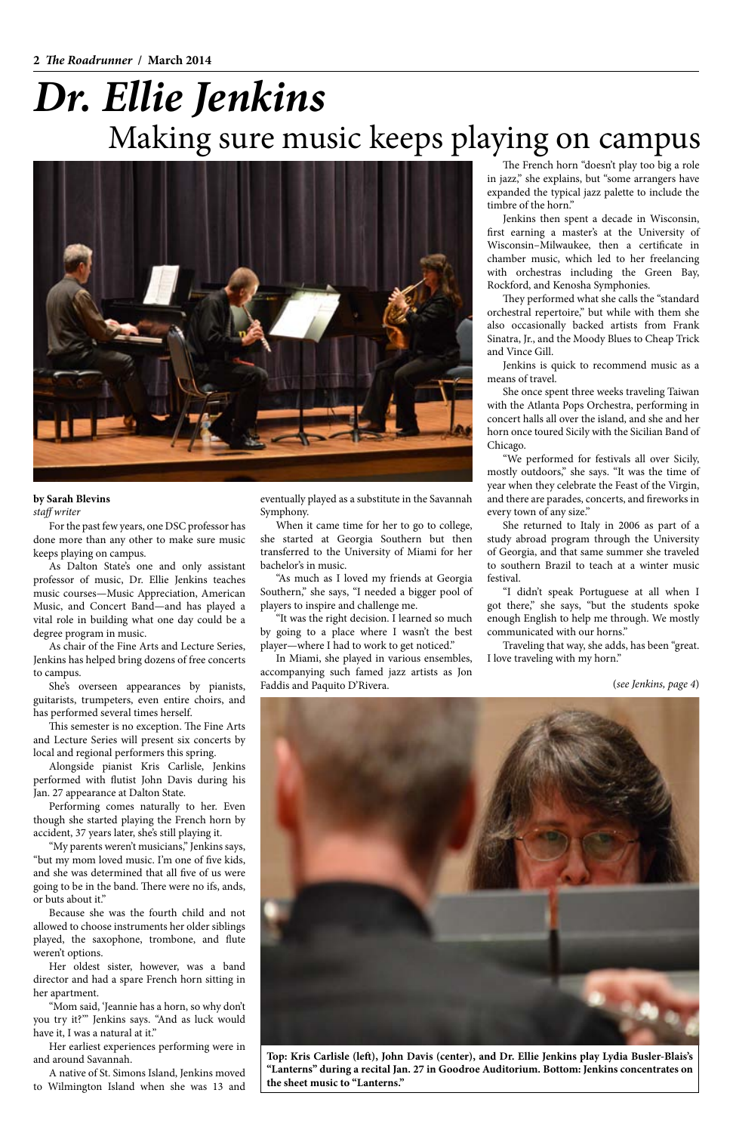#### **by Sarah Blevins** *staff writer*

## Making sure music keeps playing on campus *Dr. Ellie Jenkins*



**Top: Kris Carlisle (left), John Davis (center), and Dr. Ellie Jenkins play Lydia Busler-Blais's "Lanterns" during a recital Jan. 27 in Goodroe Auditorium. Bottom: Jenkins concentrates on the sheet music to "Lanterns."**

For the past few years, one DSC professor has done more than any other to make sure music keeps playing on campus.

As Dalton State's one and only assistant professor of music, Dr. Ellie Jenkins teaches music courses—Music Appreciation, American Music, and Concert Band—and has played a vital role in building what one day could be a degree program in music.

As chair of the Fine Arts and Lecture Series, Jenkins has helped bring dozens of free concerts to campus.

She's overseen appearances by pianists, guitarists, trumpeters, even entire choirs, and has performed several times herself.

This semester is no exception. The Fine Arts and Lecture Series will present six concerts by local and regional performers this spring.

Alongside pianist Kris Carlisle, Jenkins performed with flutist John Davis during his Jan. 27 appearance at Dalton State.

Performing comes naturally to her. Even though she started playing the French horn by

accident, 37 years later, she's still playing it.

"My parents weren't musicians," Jenkins says, "but my mom loved music. I'm one of five kids, and she was determined that all five of us were going to be in the band. There were no ifs, ands, or buts about it."

Because she was the fourth child and not allowed to choose instruments her older siblings played, the saxophone, trombone, and flute weren't options.

Her oldest sister, however, was a band director and had a spare French horn sitting in her apartment.

"Mom said, 'Jeannie has a horn, so why don't you try it?'" Jenkins says. "And as luck would have it, I was a natural at it."

Her earliest experiences performing were in and around Savannah.

A native of St. Simons Island, Jenkins moved to Wilmington Island when she was 13 and eventually played as a substitute in the Savannah Symphony.

When it came time for her to go to college, she started at Georgia Southern but then transferred to the University of Miami for her bachelor's in music.

"As much as I loved my friends at Georgia Southern," she says, "I needed a bigger pool of players to inspire and challenge me.

"It was the right decision. I learned so much by going to a place where I wasn't the best player—where I had to work to get noticed."

In Miami, she played in various ensembles, accompanying such famed jazz artists as Jon Faddis and Paquito D'Rivera.

The French horn "doesn't play too big a role in jazz," she explains, but "some arrangers have expanded the typical jazz palette to include the timbre of the horn."

Jenkins then spent a decade in Wisconsin, first earning a master's at the University of Wisconsin–Milwaukee, then a certificate in chamber music, which led to her freelancing with orchestras including the Green Bay, Rockford, and Kenosha Symphonies.

They performed what she calls the "standard orchestral repertoire," but while with them she also occasionally backed artists from Frank Sinatra, Jr., and the Moody Blues to Cheap Trick and Vince Gill.

Jenkins is quick to recommend music as a means of travel.

She once spent three weeks traveling Taiwan with the Atlanta Pops Orchestra, performing in concert halls all over the island, and she and her horn once toured Sicily with the Sicilian Band of Chicago.

"We performed for festivals all over Sicily, mostly outdoors," she says. "It was the time of year when they celebrate the Feast of the Virgin, and there are parades, concerts, and fireworks in every town of any size."

She returned to Italy in 2006 as part of a study abroad program through the University of Georgia, and that same summer she traveled to southern Brazil to teach at a winter music festival.

"I didn't speak Portuguese at all when I got there," she says, "but the students spoke enough English to help me through. We mostly communicated with our horns."

Traveling that way, she adds, has been "great. I love traveling with my horn."

(*see Jenkins, page 4*)

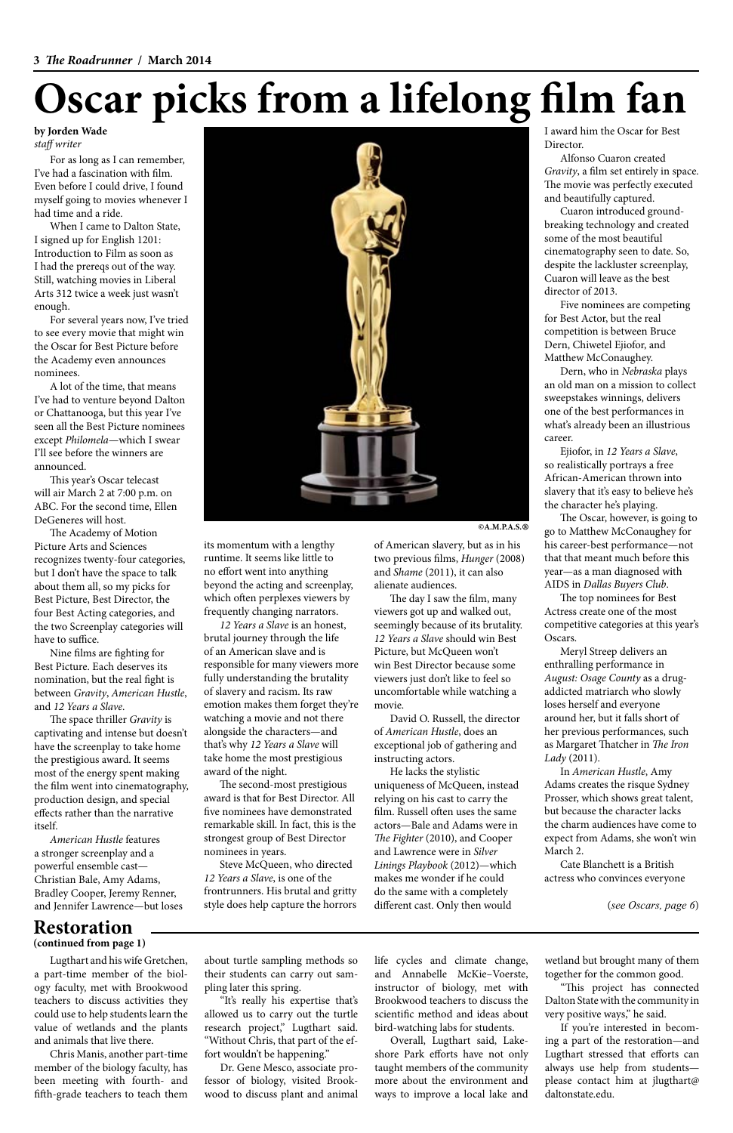# **Oscar picks from a lifelong film fan**

For as long as I can remember, I've had a fascination with film. Even before I could drive, I found myself going to movies whenever I had time and a ride.

When I came to Dalton State, I signed up for English 1201: Introduction to Film as soon as I had the prereqs out of the way. Still, watching movies in Liberal Arts 312 twice a week just wasn't enough.

For several years now, I've tried to see every movie that might win the Oscar for Best Picture before the Academy even announces nominees.

A lot of the time, that means I've had to venture beyond Dalton or Chattanooga, but this year I've seen all the Best Picture nominees except *Philomela*—which I swear I'll see before the winners are announced.

This year's Oscar telecast will air March 2 at 7:00 p.m. on ABC. For the second time, Ellen DeGeneres will host.

The Academy of Motion Picture Arts and Sciences recognizes twenty-four categories, but I don't have the space to talk about them all, so my picks for Best Picture, Best Director, the four Best Acting categories, and the two Screenplay categories will have to suffice.

Nine films are fighting for Best Picture. Each deserves its nomination, but the real fight is between *Gravity*, *American Hustle*, and *12 Years a Slave*.

The space thriller *Gravity* is captivating and intense but doesn't have the screenplay to take home the prestigious award. It seems most of the energy spent making the film went into cinematography, production design, and special effects rather than the narrative itself.

*American Hustle* features a stronger screenplay and a powerful ensemble cast— Christian Bale, Amy Adams, Bradley Cooper, Jeremy Renner, and Jennifer Lawrence—but loses runtime. It seems like little to no effort went into anything beyond the acting and screenplay, which often perplexes viewers by frequently changing narrators.

*12 Years a Slave* is an honest, brutal journey through the life of an American slave and is responsible for many viewers more fully understanding the brutality of slavery and racism. Its raw emotion makes them forget they're watching a movie and not there alongside the characters—and that's why *12 Years a Slave* will take home the most prestigious award of the night.



The second-most prestigious award is that for Best Director. All five nominees have demonstrated remarkable skill. In fact, this is the

strongest group of Best Director nominees in years.

Steve McQueen, who directed *12 Years a Slave*, is one of the frontrunners. His brutal and gritty style does help capture the horrors two previous films, *Hunger* (2008) and *Shame* (2011), it can also

alienate audiences.

The day I saw the film, many viewers got up and walked out, seemingly because of its brutality. *12 Years a Slave* should win Best Picture, but McQueen won't win Best Director because some viewers just don't like to feel so uncomfortable while watching a

movie.

David O. Russell, the director

of *American Hustle*, does an exceptional job of gathering and

instructing actors.

He lacks the stylistic uniqueness of McQueen, instead relying on his cast to carry the film. Russell often uses the same actors—Bale and Adams were in

*The Fighter* (2010), and Cooper and Lawrence were in *Silver Linings Playbook* (2012)—which makes me wonder if he could do the same with a completely different cast. Only then would

I award him the Oscar for Best Director.

Alfonso Cuaron created *Gravity*, a film set entirely in space. The movie was perfectly executed and beautifully captured.

Cuaron introduced groundbreaking technology and created some of the most beautiful cinematography seen to date. So, despite the lackluster screenplay, Cuaron will leave as the best director of 2013.

Five nominees are competing for Best Actor, but the real competition is between Bruce Dern, Chiwetel Ejiofor, and Matthew McConaughey.

Dern, who in *Nebraska* plays an old man on a mission to collect sweepstakes winnings, delivers one of the best performances in what's already been an illustrious career.

Ejiofor, in *12 Years a Slave*, so realistically portrays a free African-American thrown into slavery that it's easy to believe he's the character he's playing.

The Oscar, however, is going to go to Matthew McConaughey for his career-best performance—not that that meant much before this year—as a man diagnosed with AIDS in *Dallas Buyers Club*.

The top nominees for Best Actress create one of the most competitive categories at this year's Oscars.

Meryl Streep delivers an enthralling performance in *August: Osage County* as a drugaddicted matriarch who slowly loses herself and everyone around her, but it falls short of her previous performances, such as Margaret Thatcher in *The Iron Lady* (2011).

In *American Hustle*, Amy Adams creates the risque Sydney Prosser, which shows great talent, but because the character lacks the charm audiences have come to

expect from Adams, she won't win March 2.

Cate Blanchett is a British actress who convinces everyone

**by Jorden Wade** *staff writer*

 **©A.M.P.A.S. ®**

(*see Oscars, page 6*)

### **Restoration**

**(continued from page 1)**

Lugthart and his wife Gretchen, a part-time member of the biology faculty, met with Brookwood teachers to discuss activities they could use to help students learn the value of wetlands and the plants and animals that live there.

Chris Manis, another part-time member of the biology faculty, has been meeting with fourth- and fifth-grade teachers to teach them

about turtle sampling methods so their students can carry out sampling later this spring.

"It's really his expertise that's allowed us to carry out the turtle research project," Lugthart said. "Without Chris, that part of the effort wouldn't be happening."

Dr. Gene Mesco, associate professor of biology, visited Brookwood to discuss plant and animal life cycles and climate change, and Annabelle McKie–Voerste, instructor of biology, met with Brookwood teachers to discuss the scientific method and ideas about bird-watching labs for students.

Overall, Lugthart said, Lakeshore Park efforts have not only taught members of the community more about the environment and ways to improve a local lake and

wetland but brought many of them together for the common good. "This project has connected Dalton State with the community in very positive ways," he said.

If you're interested in becoming a part of the restoration—and Lugthart stressed that efforts can always use help from students please contact him at jlugthart@ daltonstate.edu.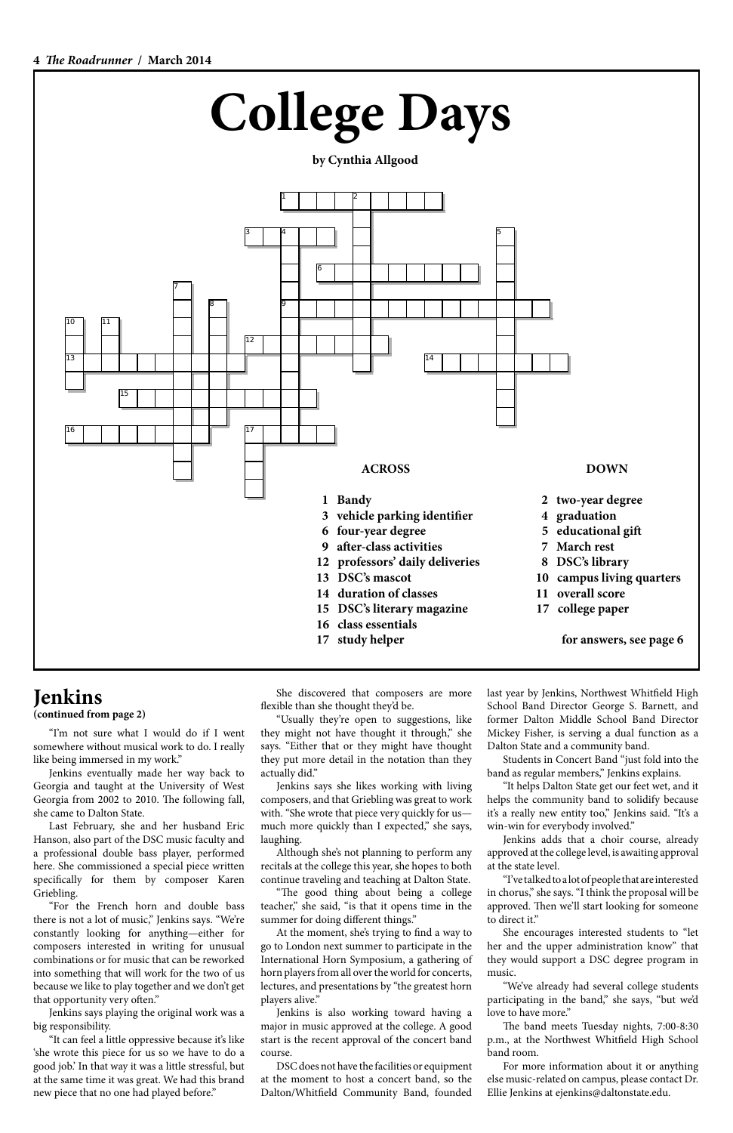

## Jenkins

**(continued from page 2)**

"I'm not sure what I would do if I went somewhere without musical work to do. I really like being immersed in my work."

Jenkins eventually made her way back to Georgia and taught at the University of West Georgia from 2002 to 2010. The following fall, she came to Dalton State.

Last February, she and her husband Eric

Hanson, also part of the DSC music faculty and a professional double bass player, performed here. She commissioned a special piece written specifically for them by composer Karen Griebling.

"For the French horn and double bass there is not a lot of music," Jenkins says. "We're constantly looking for anything—either for composers interested in writing for unusual combinations or for music that can be reworked into something that will work for the two of us because we like to play together and we don't get that opportunity very often."

Jenkins says playing the original work was a big responsibility.

"It can feel a little oppressive because it's like 'she wrote this piece for us so we have to do a good job.' In that way it was a little stressful, but at the same time it was great. We had this brand new piece that no one had played before."

She discovered that composers are more flexible than she thought they'd be.

"Usually they're open to suggestions, like they might not have thought it through," she says. "Either that or they might have thought they put more detail in the notation than they actually did."

Jenkins says she likes working with living composers, and that Griebling was great to work with. "She wrote that piece very quickly for us much more quickly than I expected," she says, laughing.

Although she's not planning to perform any recitals at the college this year, she hopes to both continue traveling and teaching at Dalton State.

"The good thing about being a college teacher," she said, "is that it opens time in the summer for doing different things."

At the moment, she's trying to find a way to go to London next summer to participate in the International Horn Symposium, a gathering of horn players from all over the world for concerts, lectures, and presentations by "the greatest horn players alive."

Jenkins is also working toward having a major in music approved at the college. A good start is the recent approval of the concert band course.

DSC does not have the facilities or equipment at the moment to host a concert band, so the Dalton/Whitfield Community Band, founded last year by Jenkins, Northwest Whitfield High School Band Director George S. Barnett, and former Dalton Middle School Band Director Mickey Fisher, is serving a dual function as a Dalton State and a community band.

Students in Concert Band "just fold into the band as regular members," Jenkins explains.

"It helps Dalton State get our feet wet, and it helps the community band to solidify because it's a really new entity too," Jenkins said. "It's a win-win for everybody involved."

Jenkins adds that a choir course, already approved at the college level, is awaiting approval at the state level.

"I've talked to a lot of people that are interested in chorus," she says. "I think the proposal will be approved. Then we'll start looking for someone to direct it."

She encourages interested students to "let her and the upper administration know" that they would support a DSC degree program in music.

"We've already had several college students participating in the band," she says, "but we'd love to have more."

The band meets Tuesday nights, 7:00-8:30 p.m., at the Northwest Whitfield High School band room.

For more information about it or anything else music-related on campus, please contact Dr. Ellie Jenkins at ejenkins@daltonstate.edu.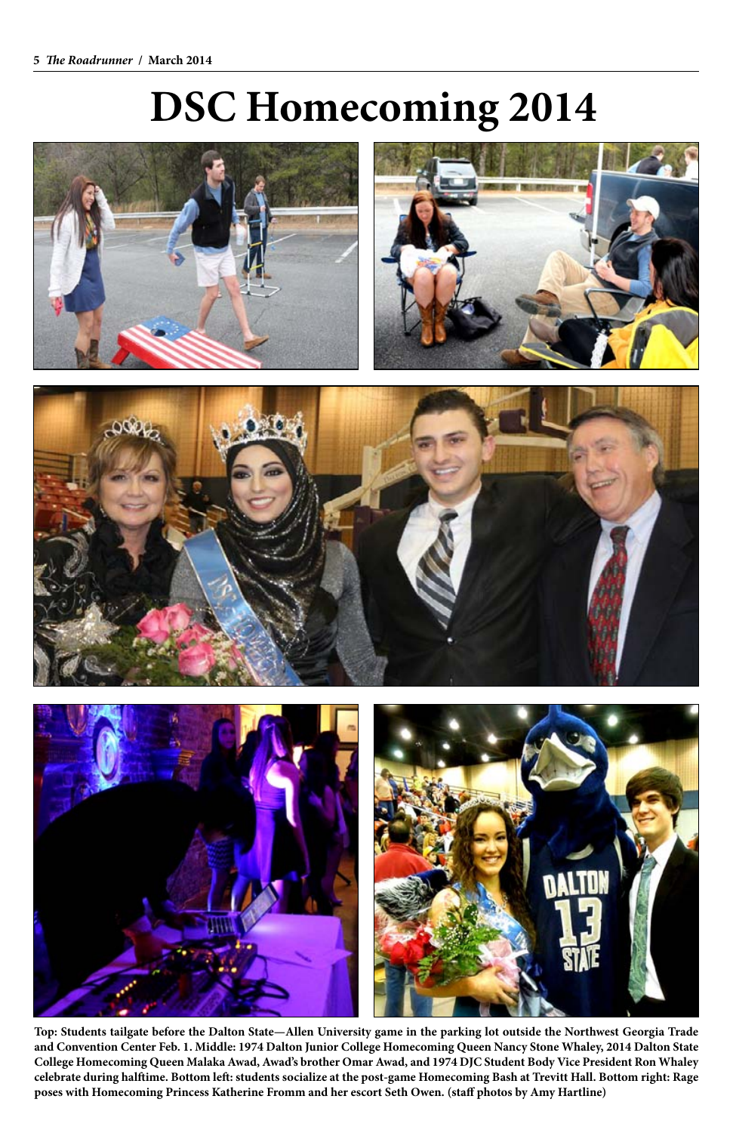# **DSC Homecoming 2014**











**Top: Students tailgate before the Dalton State—Allen University game in the parking lot outside the Northwest Georgia Trade and Convention Center Feb. 1. Middle: 1974 Dalton Junior College Homecoming Queen Nancy Stone Whaley, 2014 Dalton State College Homecoming Queen Malaka Awad, Awad's brother Omar Awad, and 1974 DJC Student Body Vice President Ron Whaley celebrate during halftime. Bottom left: students socialize at the post-game Homecoming Bash at Trevitt Hall. Bottom right: Rage poses with Homecoming Princess Katherine Fromm and her escort Seth Owen. (staff photos by Amy Hartline)**